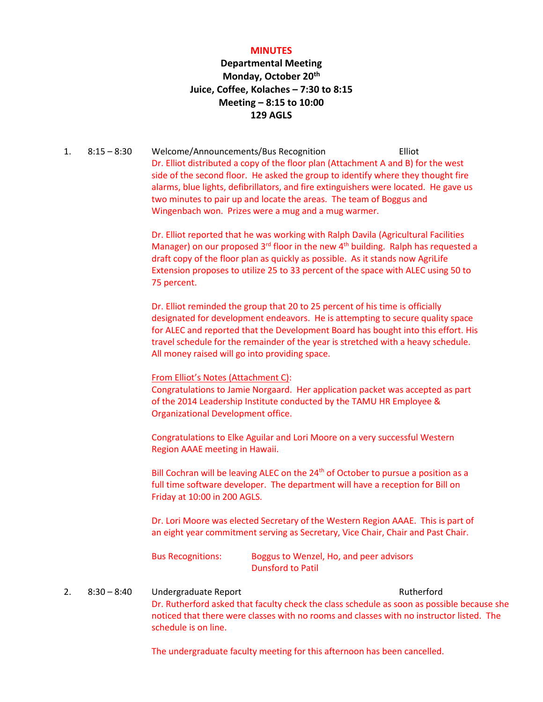#### **MINUTES**

#### **Departmental Meeting Monday, October 20th Juice, Coffee, Kolaches – 7:30 to 8:15 Meeting – 8:15 to 10:00 129 AGLS**

1. 8:15 – 8:30 Welcome/Announcements/Bus Recognition Elliot Dr. Elliot distributed a copy of the floor plan (Attachment A and B) for the west side of the second floor. He asked the group to identify where they thought fire alarms, blue lights, defibrillators, and fire extinguishers were located. He gave us two minutes to pair up and locate the areas. The team of Boggus and Wingenbach won. Prizes were a mug and a mug warmer.

> Dr. Elliot reported that he was working with Ralph Davila (Agricultural Facilities Manager) on our proposed 3<sup>rd</sup> floor in the new 4<sup>th</sup> building. Ralph has requested a draft copy of the floor plan as quickly as possible. As it stands now AgriLife Extension proposes to utilize 25 to 33 percent of the space with ALEC using 50 to 75 percent.

> Dr. Elliot reminded the group that 20 to 25 percent of his time is officially designated for development endeavors. He is attempting to secure quality space for ALEC and reported that the Development Board has bought into this effort. His travel schedule for the remainder of the year is stretched with a heavy schedule. All money raised will go into providing space.

#### From Elliot's Notes (Attachment C):

Congratulations to Jamie Norgaard. Her application packet was accepted as part of the 2014 Leadership Institute conducted by the TAMU HR Employee & Organizational Development office.

Congratulations to Elke Aguilar and Lori Moore on a very successful Western Region AAAE meeting in Hawaii.

Bill Cochran will be leaving ALEC on the 24<sup>th</sup> of October to pursue a position as a full time software developer. The department will have a reception for Bill on Friday at 10:00 in 200 AGLS.

Dr. Lori Moore was elected Secretary of the Western Region AAAE. This is part of an eight year commitment serving as Secretary, Vice Chair, Chair and Past Chair.

Bus Recognitions: Boggus to Wenzel, Ho, and peer advisors Dunsford to Patil

2. 8:30 – 8:40 Undergraduate Report Rutherford Rutherford Dr. Rutherford asked that faculty check the class schedule as soon as possible because she noticed that there were classes with no rooms and classes with no instructor listed. The schedule is on line.

The undergraduate faculty meeting for this afternoon has been cancelled.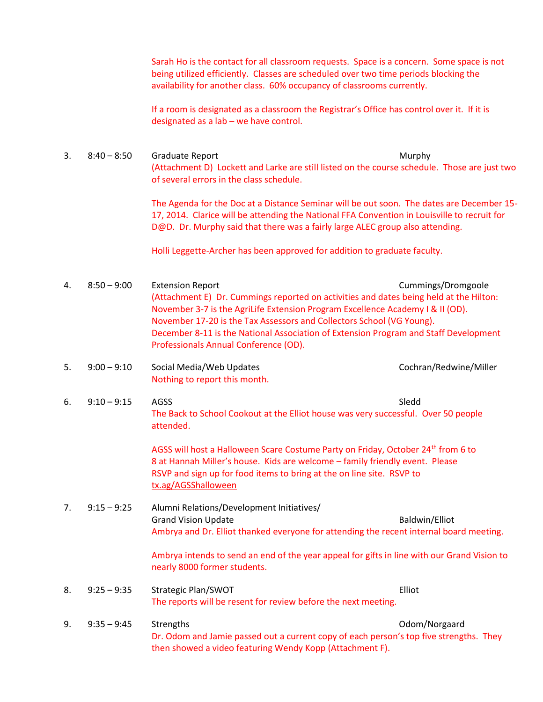Sarah Ho is the contact for all classroom requests. Space is a concern. Some space is not being utilized efficiently. Classes are scheduled over two time periods blocking the availability for another class. 60% occupancy of classrooms currently.

If a room is designated as a classroom the Registrar's Office has control over it. If it is designated as a lab – we have control.

3. 8:40 – 8:50 Graduate Report **Murphy** (Attachment D) Lockett and Larke are still listed on the course schedule. Those are just two of several errors in the class schedule.

> The Agenda for the Doc at a Distance Seminar will be out soon. The dates are December 15- 17, 2014. Clarice will be attending the National FFA Convention in Louisville to recruit for D@D. Dr. Murphy said that there was a fairly large ALEC group also attending.

Holli Leggette-Archer has been approved for addition to graduate faculty.

- 4. 8:50 9:00 Extension Report Cummings/Dromgoole (Attachment E) Dr. Cummings reported on activities and dates being held at the Hilton: November 3-7 is the AgriLife Extension Program Excellence Academy I & II (OD). November 17-20 is the Tax Assessors and Collectors School (VG Young). December 8-11 is the National Association of Extension Program and Staff Development Professionals Annual Conference (OD).
- 5. 9:00 9:10 Social Media/Web Updates Cochran/Redwine/Miller Nothing to report this month.
- 6. 9:10 9:15 AGSS Sleedd and the Sleedd Sleedd Sleedd Sleedd Sleedd Sleedd Sleedd Sleedd Sleedd Sleedd Sleed The Back to School Cookout at the Elliot house was very successful. Over 50 people attended.

AGSS will host a Halloween Scare Costume Party on Friday, October 24<sup>th</sup> from 6 to 8 at Hannah Miller's house. Kids are welcome – family friendly event. Please RSVP and sign up for food items to bring at the on line site. RSVP to [tx.ag/AGSShalloween](https://docs.google.com/spreadsheets/d/1su-br0FuAP8m5YODQum5pYDeyTN-FEa6x10v3PciOMg/edit?usp=sharing)

7. 9:15 – 9:25 Alumni Relations/Development Initiatives/ Grand Vision Update **Baldwin** Communication of the Baldwin/Elliot Ambrya and Dr. Elliot thanked everyone for attending the recent internal board meeting.

> Ambrya intends to send an end of the year appeal for gifts in line with our Grand Vision to nearly 8000 former students.

#### 8. 9:25 – 9:35 Strategic Plan/SWOT Elliot The reports will be resent for review before the next meeting.

9. 9:35 – 9:45 Strengths Odom/Norgaard Dr. Odom and Jamie passed out a current copy of each person's top five strengths. They then showed a video featuring Wendy Kopp (Attachment F).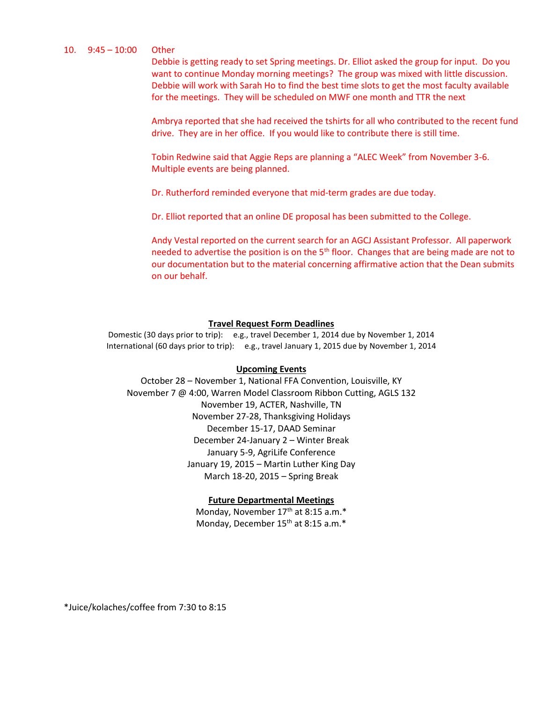#### 10. 9:45 – 10:00 Other

Debbie is getting ready to set Spring meetings. Dr. Elliot asked the group for input. Do you want to continue Monday morning meetings? The group was mixed with little discussion. Debbie will work with Sarah Ho to find the best time slots to get the most faculty available for the meetings. They will be scheduled on MWF one month and TTR the next

Ambrya reported that she had received the tshirts for all who contributed to the recent fund drive. They are in her office. If you would like to contribute there is still time.

Tobin Redwine said that Aggie Reps are planning a "ALEC Week" from November 3-6. Multiple events are being planned.

Dr. Rutherford reminded everyone that mid-term grades are due today.

Dr. Elliot reported that an online DE proposal has been submitted to the College.

Andy Vestal reported on the current search for an AGCJ Assistant Professor. All paperwork needed to advertise the position is on the  $5<sup>th</sup>$  floor. Changes that are being made are not to our documentation but to the material concerning affirmative action that the Dean submits on our behalf.

#### **Travel Request Form Deadlines**

Domestic (30 days prior to trip): e.g., travel December 1, 2014 due by November 1, 2014 International (60 days prior to trip): e.g., travel January 1, 2015 due by November 1, 2014

#### **Upcoming Events**

October 28 – November 1, National FFA Convention, Louisville, KY November 7 @ 4:00, Warren Model Classroom Ribbon Cutting, AGLS 132 November 19, ACTER, Nashville, TN November 27-28, Thanksgiving Holidays December 15-17, DAAD Seminar December 24-January 2 – Winter Break January 5-9, AgriLife Conference January 19, 2015 – Martin Luther King Day March 18-20, 2015 – Spring Break

#### **Future Departmental Meetings**

Monday, November 17<sup>th</sup> at 8:15 a.m.\* Monday, December 15<sup>th</sup> at 8:15 a.m.\*

\*Juice/kolaches/coffee from 7:30 to 8:15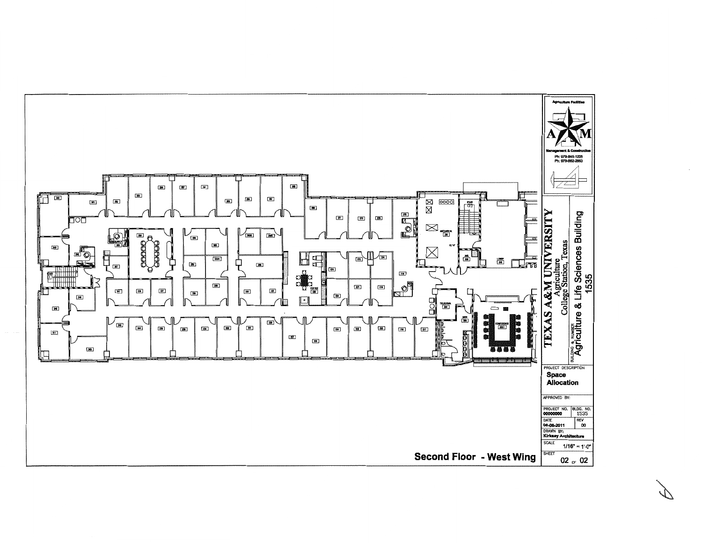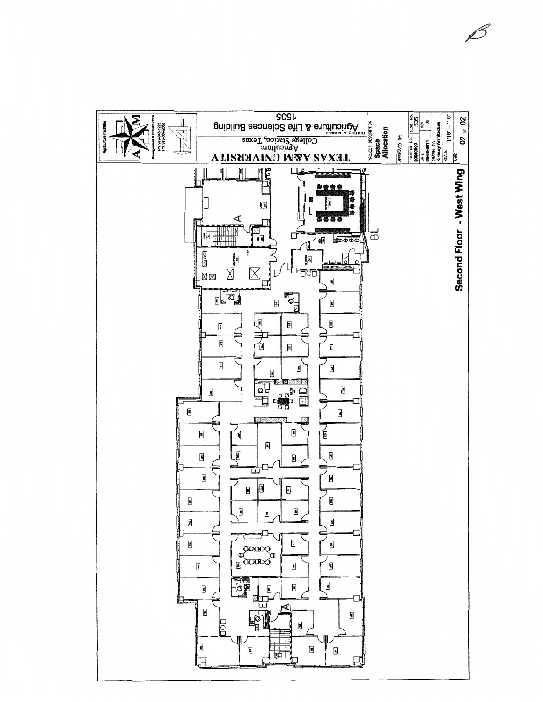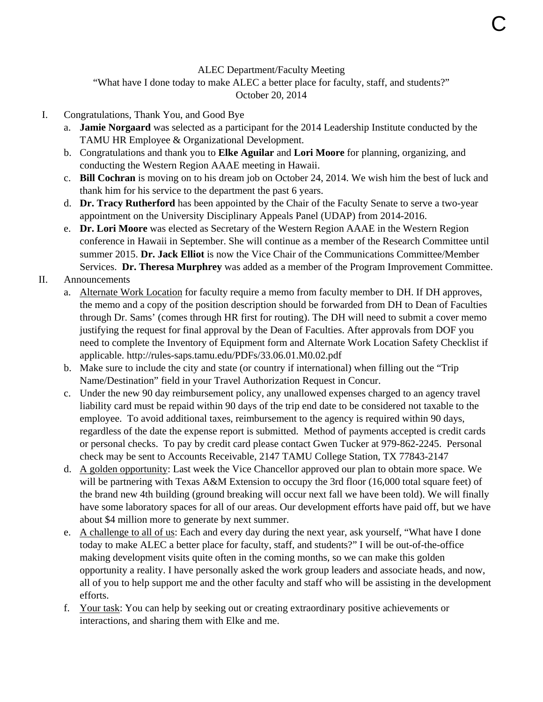#### ALEC Department/Faculty Meeting

"What have I done today to make ALEC a better place for faculty, staff, and students?" October 20, 2014

#### I. Congratulations, Thank You, and Good Bye

- a. **Jamie Norgaard** was selected as a participant for the 2014 Leadership Institute conducted by the TAMU HR Employee & Organizational Development.
- b. Congratulations and thank you to **Elke Aguilar** and **Lori Moore** for planning, organizing, and conducting the Western Region AAAE meeting in Hawaii.
- c. **Bill Cochran** is moving on to his dream job on October 24, 2014. We wish him the best of luck and thank him for his service to the department the past 6 years.
- d. **Dr. Tracy Rutherford** has been appointed by the Chair of the Faculty Senate to serve a two-year appointment on the University Disciplinary Appeals Panel (UDAP) from 2014-2016.
- e. **Dr. Lori Moore** was elected as Secretary of the Western Region AAAE in the Western Region conference in Hawaii in September. She will continue as a member of the Research Committee until summer 2015. **Dr. Jack Elliot** is now the Vice Chair of the Communications Committee/Member Services. **Dr. Theresa Murphrey** was added as a member of the Program Improvement Committee.

#### II. Announcements

- a. Alternate Work Location for faculty require a memo from faculty member to DH. If DH approves, the memo and a copy of the position description should be forwarded from DH to Dean of Faculties through Dr. Sams' (comes through HR first for routing). The DH will need to submit a cover memo justifying the request for final approval by the Dean of Faculties. After approvals from DOF you need to complete the Inventory of Equipment form and Alternate Work Location Safety Checklist if applicable. http://rules-saps.tamu.edu/PDFs/33.06.01.M0.02.pdf
- b. Make sure to include the city and state (or country if international) when filling out the "Trip Name/Destination" field in your Travel Authorization Request in Concur.
- c. Under the new 90 day reimbursement policy, any unallowed expenses charged to an agency travel liability card must be repaid within 90 days of the trip end date to be considered not taxable to the employee. To avoid additional taxes, reimbursement to the agency is required within 90 days, regardless of the date the expense report is submitted. Method of payments accepted is credit cards or personal checks. To pay by credit card please contact Gwen Tucker at 979-862-2245. Personal check may be sent to Accounts Receivable, 2147 TAMU College Station, TX 77843-2147
- d. A golden opportunity: Last week the Vice Chancellor approved our plan to obtain more space. We will be partnering with Texas A&M Extension to occupy the 3rd floor (16,000 total square feet) of the brand new 4th building (ground breaking will occur next fall we have been told). We will finally have some laboratory spaces for all of our areas. Our development efforts have paid off, but we have about \$4 million more to generate by next summer.
- e. A challenge to all of us: Each and every day during the next year, ask yourself, "What have I done today to make ALEC a better place for faculty, staff, and students?" I will be out-of-the-office making development visits quite often in the coming months, so we can make this golden opportunity a reality. I have personally asked the work group leaders and associate heads, and now, all of you to help support me and the other faculty and staff who will be assisting in the development efforts.
- f. Your task: You can help by seeking out or creating extraordinary positive achievements or interactions, and sharing them with Elke and me.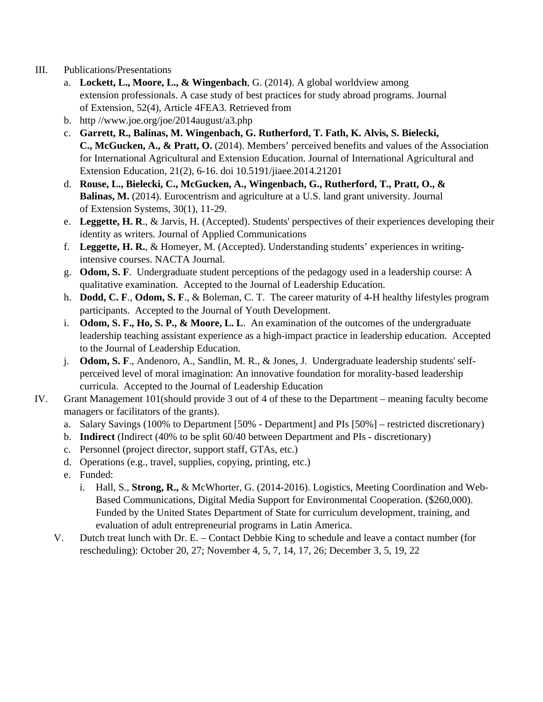- III. Publications/Presentations
	- a. **Lockett, L., Moore, L., & Wingenbach**, G. (2014). A global worldview among extension professionals. A case study of best practices for study abroad programs. Journal of Extension, 52(4), Article 4FEA3. Retrieved from
	- b. http //www.joe.org/joe/2014august/a3.php
	- c. **Garrett, R., Balinas, M. Wingenbach, G. Rutherford, T. Fath, K. Alvis, S. Bielecki, C., McGucken, A., & Pratt, O.** (2014). Members' perceived benefits and values of the Association for International Agricultural and Extension Education. Journal of International Agricultural and Extension Education, 21(2), 6-16. doi 10.5191/jiaee.2014.21201
	- d. **Rouse, L., Bielecki, C., McGucken, A., Wingenbach, G., Rutherford, T., Pratt, O., & Balinas, M.** (2014). Eurocentrism and agriculture at a U.S. land grant university. Journal of Extension Systems, 30(1), 11-29.
	- e. **Leggette, H. R**., & Jarvis, H. (Accepted). Students' perspectives of their experiences developing their identity as writers. Journal of Applied Communications
	- f. **Leggette, H. R.**, & Homeyer, M. (Accepted). Understanding students' experiences in writingintensive courses. NACTA Journal.
	- g. **Odom, S. F**. Undergraduate student perceptions of the pedagogy used in a leadership course: A qualitative examination. Accepted to the Journal of Leadership Education.
	- h. **Dodd, C. F**., **Odom, S. F**., & Boleman, C. T. The career maturity of 4-H healthy lifestyles program participants. Accepted to the Journal of Youth Development.
	- i. **Odom, S. F., Ho, S. P., & Moore, L. L**. An examination of the outcomes of the undergraduate leadership teaching assistant experience as a high-impact practice in leadership education. Accepted to the Journal of Leadership Education.
	- j. **Odom, S. F**., Andenoro, A., Sandlin, M. R., & Jones, J. Undergraduate leadership students' selfperceived level of moral imagination: An innovative foundation for morality-based leadership curricula. Accepted to the Journal of Leadership Education
- IV. Grant Management 101(should provide 3 out of 4 of these to the Department meaning faculty become managers or facilitators of the grants).
	- a. Salary Savings (100% to Department [50% Department] and PIs [50%] restricted discretionary)
	- b. **Indirect** (Indirect (40% to be split 60/40 between Department and PIs discretionary)
	- c. Personnel (project director, support staff, GTAs, etc.)
	- d. Operations (e.g., travel, supplies, copying, printing, etc.)
	- e. Funded:
		- i. Hall, S., **Strong, R.,** & McWhorter, G. (2014-2016). Logistics, Meeting Coordination and Web-Based Communications, Digital Media Support for Environmental Cooperation. (\$260,000). Funded by the United States Department of State for curriculum development, training, and evaluation of adult entrepreneurial programs in Latin America.
	- V. Dutch treat lunch with Dr. E. Contact Debbie King to schedule and leave a contact number (for rescheduling): October 20, 27; November 4, 5, 7, 14, 17, 26; December 3, 5, 19, 22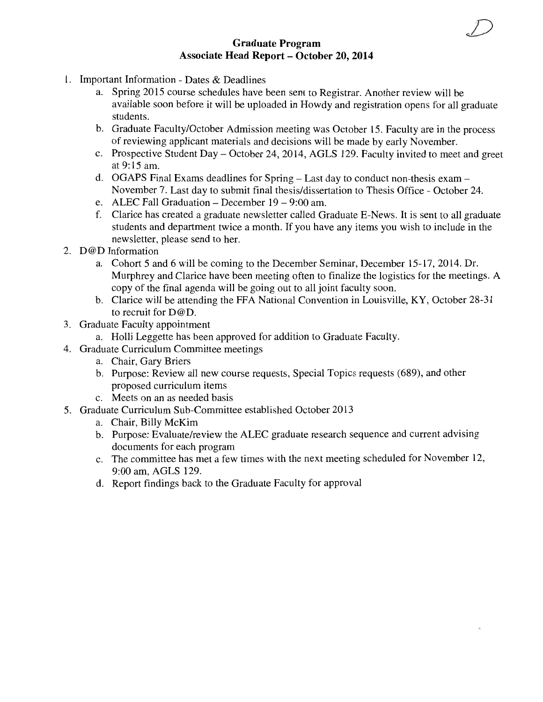#### **Graduate Program Associate Head Report- October 20,2014**

- 1. Important Information Dates & Deadlines
	- a. Spring 2015 course schedules have been sent to Registrar. Another review will be available soon before it will be uploaded in Howdy and registration opens for all graduate students.
	- b. Graduate Faculty/October Admission meeting was October 15. Faculty are in the process of reviewing applicant materials and decisions will be made by early November.
	- c. Prospective Student Day- October 24, 2014, AGLS 129. Faculty invited to meet and greet at 9:15am.
	- d. OGAPS Final Exams deadlines for Spring- Last day to conduct non-thesis exam-November 7. Last day to submit final thesis/dissertation to Thesis Office - October 24.
	- e. ALEC Fall Graduation  $-$  December 19  $-$  9:00 am.
	- f. Clarice has created a graduate newsletter called Graduate E-News. It is sent to all graduate students and department twice a month. If you have any items you wish to include in the newsletter, please send to her.
- 2. D@D Information
	- a. Cohort 5 and 6 will be coming to the December Seminar, December 15-17, 2014. Dr. Murphrey and Clarice have been meeting often to finalize the logistics for the meetings. A copy of the final agenda will be going out to all joint faculty soon.
	- b. Clarice will be attending the FFA National Convention in Louisville, KY, October 28-31 to recruit for D@D.
- 3. Graduate Faculty appointment
	- a. Holli Leggette has been approved for addition to Graduate Faculty.
- 4. Graduate Curriculum Committee meetings
	- a. Chair, Gary Briers
	- b. Purpose: Review all new course requests, Special Topics requests (689), and other proposed curriculum items
	- c. Meets on an as needed basis
- 5. Graduate Curriculum Sub-Committee established October 2013
	- a. Chair, Billy McKim
	- b. Purpose: Evaluate/review the ALEC graduate research sequence and current advising documents for each program
	- c. The committee has met a few times with the next meeting scheduled for November 12, 9:00am, AGLS 129.
	- d. Report findings back to the Graduate Faculty for approval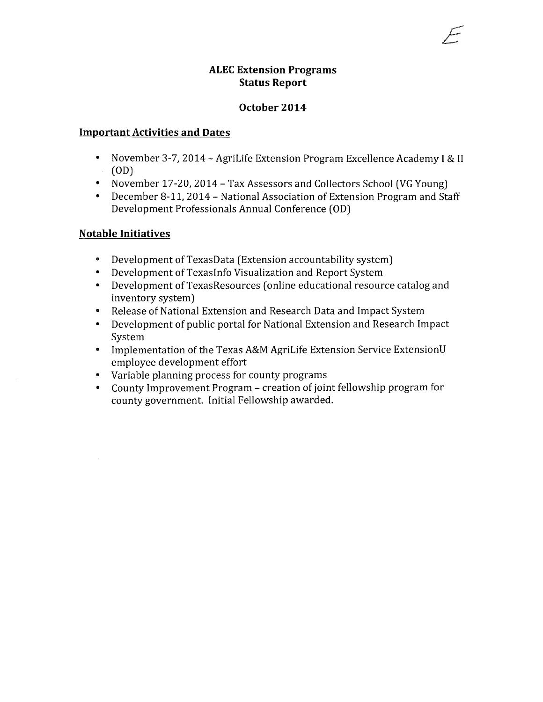#### **ALEC Extension Programs Status Report**

#### **October 2014**

#### **Important Activities and Dates**

- November 3-7, 2014- AgriLife Extension Program Excellence Academy I & II (OD)
- November 17-20, 2014 Tax Assessors and Collectors School (VG Young)
- December 8-11, 2014- National Association of Extension Program and Staff Development Professionals Annual Conference (OD)

#### **Notable Initiatives**

- Development of TexasData (Extension accountability system)
- Development of TexasInfo Visualization and Report System
- Development of TexasResources (online educational resource catalog and inventory system)
- Release of National Extension and Research Data and Impact System
- Development of public portal for National Extension and Research Impact System
- Implementation of the Texas A&M AgriLife Extension Service ExtensionU employee development effort
- Variable planning process for county programs
- County Improvement Program- creation of joint fellowship program for county government. Initial Fellowship awarded.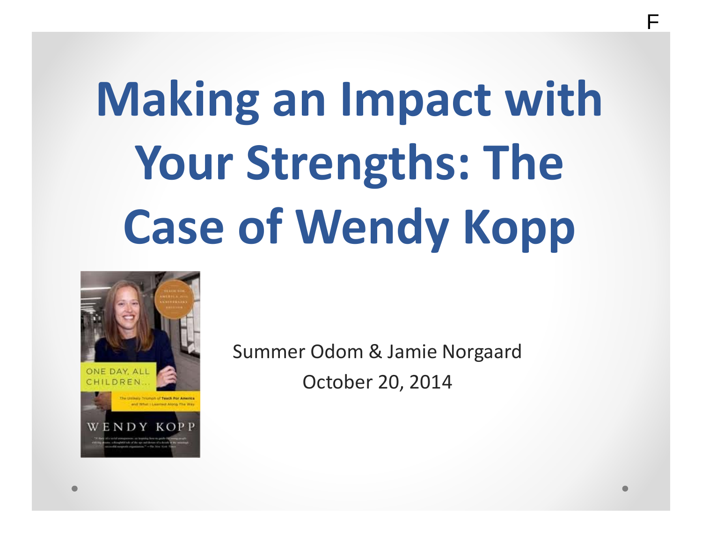# **Making an Impact with Your Strengths: The Case of Wendy Kopp**



Summer Odom & Jamie Norgaard October 20, 2014

F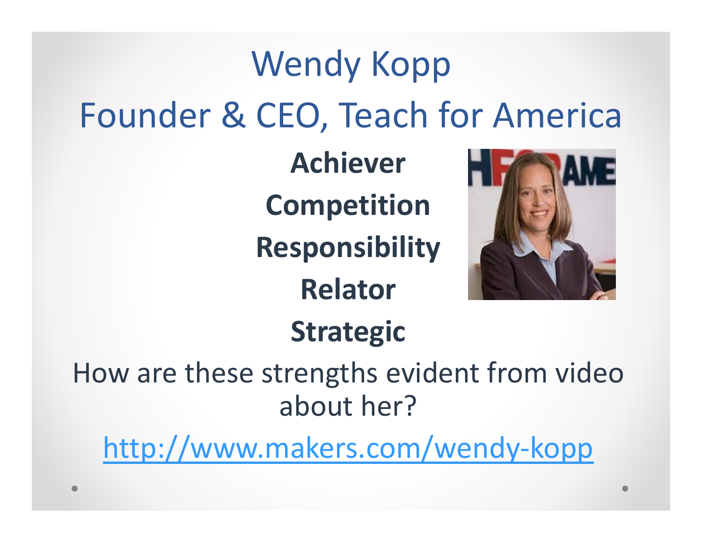## Wendy Kopp Founder & CEO, Teach for America

**Achiever Competition**

**Responsibility**

**Relator**



### **Strategic**

How are these strengths evident from video about her?

http://www.makers.com/wendy‐kopp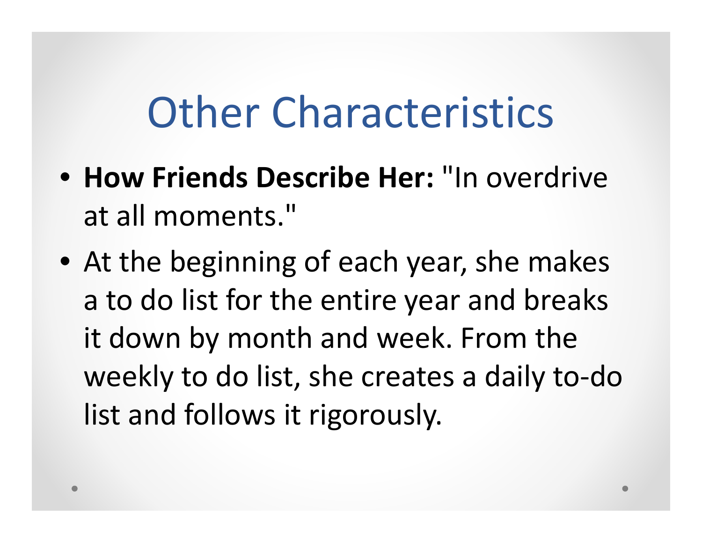### **Other Characteristics**

- **How Friends Describe Her:** "In overdrive at all moments."
- At the beginning of each year, she makes a to do list for the entire year and breaks it down by month and week. From the weekly to do list, she creates <sup>a</sup> daily to‐do list and follows it rigorously.